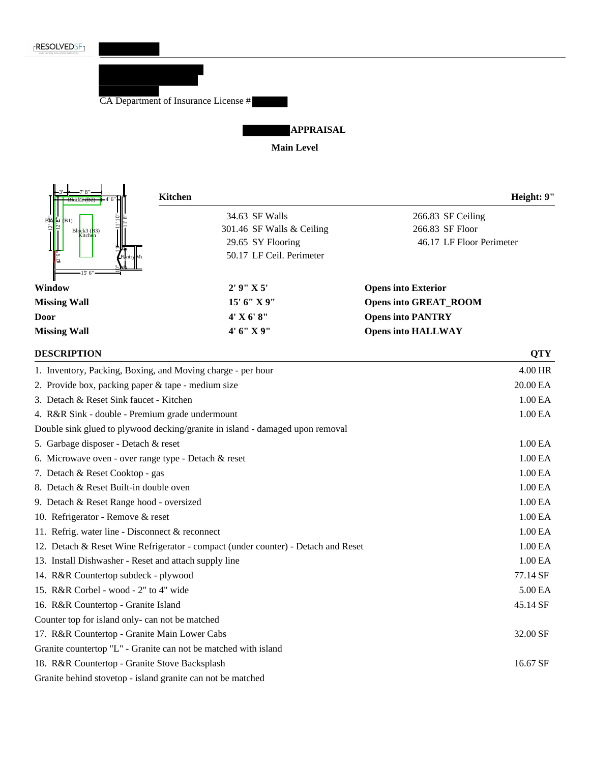



Granite countertop "L" - Granite can not be matched with island 18. R&R Countertop - Granite Stove Backsplash 16.67 SF

Granite behind stovetop - island granite can not be matched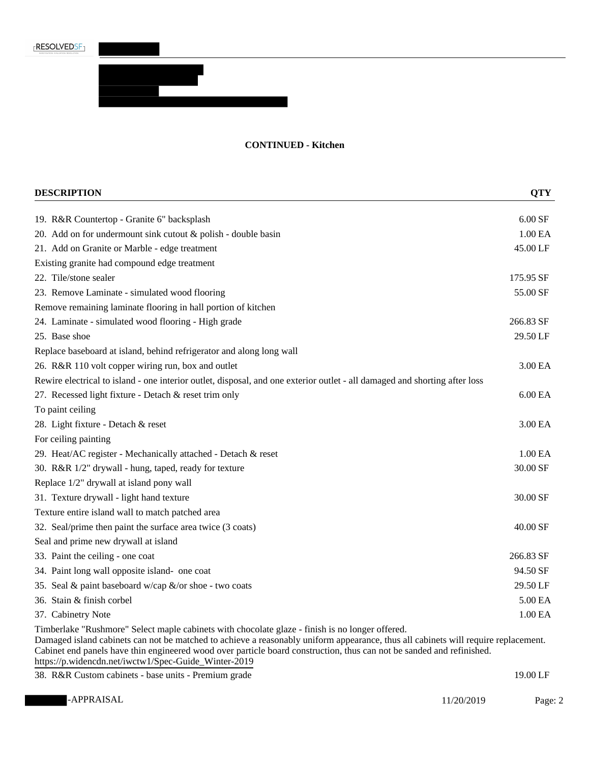**RESOLVEDSF** 

### **CONTINUED - Kitchen**

| <b>DESCRIPTION</b>                                                                                                                                                                                                                                                                                                                                                                                                     | <b>QTY</b>          |
|------------------------------------------------------------------------------------------------------------------------------------------------------------------------------------------------------------------------------------------------------------------------------------------------------------------------------------------------------------------------------------------------------------------------|---------------------|
| 19. R&R Countertop - Granite 6" backsplash                                                                                                                                                                                                                                                                                                                                                                             | $6.00$ SF           |
| 20. Add on for undermount sink cutout $&$ polish - double basin                                                                                                                                                                                                                                                                                                                                                        | 1.00 EA             |
| 21. Add on Granite or Marble - edge treatment                                                                                                                                                                                                                                                                                                                                                                          | 45.00 LF            |
| Existing granite had compound edge treatment                                                                                                                                                                                                                                                                                                                                                                           |                     |
| 22. Tile/stone sealer                                                                                                                                                                                                                                                                                                                                                                                                  | 175.95 SF           |
| 23. Remove Laminate - simulated wood flooring                                                                                                                                                                                                                                                                                                                                                                          | 55.00 SF            |
| Remove remaining laminate flooring in hall portion of kitchen                                                                                                                                                                                                                                                                                                                                                          |                     |
| 24. Laminate - simulated wood flooring - High grade                                                                                                                                                                                                                                                                                                                                                                    | 266.83 SF           |
| 25. Base shoe                                                                                                                                                                                                                                                                                                                                                                                                          | 29.50 LF            |
| Replace baseboard at island, behind refrigerator and along long wall                                                                                                                                                                                                                                                                                                                                                   |                     |
| 26. R&R 110 volt copper wiring run, box and outlet                                                                                                                                                                                                                                                                                                                                                                     | 3.00 EA             |
| Rewire electrical to island - one interior outlet, disposal, and one exterior outlet - all damaged and shorting after loss                                                                                                                                                                                                                                                                                             |                     |
| 27. Recessed light fixture - Detach & reset trim only                                                                                                                                                                                                                                                                                                                                                                  | 6.00 <sub>E</sub> A |
| To paint ceiling                                                                                                                                                                                                                                                                                                                                                                                                       |                     |
| 28. Light fixture - Detach & reset                                                                                                                                                                                                                                                                                                                                                                                     | 3.00 EA             |
| For ceiling painting                                                                                                                                                                                                                                                                                                                                                                                                   |                     |
| 29. Heat/AC register - Mechanically attached - Detach & reset                                                                                                                                                                                                                                                                                                                                                          | 1.00 EA             |
| 30. R&R 1/2" drywall - hung, taped, ready for texture                                                                                                                                                                                                                                                                                                                                                                  | 30.00 SF            |
| Replace 1/2" drywall at island pony wall                                                                                                                                                                                                                                                                                                                                                                               |                     |
| 31. Texture drywall - light hand texture                                                                                                                                                                                                                                                                                                                                                                               | 30.00 SF            |
| Texture entire island wall to match patched area                                                                                                                                                                                                                                                                                                                                                                       |                     |
| 32. Seal/prime then paint the surface area twice (3 coats)                                                                                                                                                                                                                                                                                                                                                             | $40.00$ SF          |
| Seal and prime new drywall at island                                                                                                                                                                                                                                                                                                                                                                                   |                     |
| 33. Paint the ceiling - one coat                                                                                                                                                                                                                                                                                                                                                                                       | 266.83 SF           |
| 34. Paint long wall opposite island- one coat                                                                                                                                                                                                                                                                                                                                                                          | 94.50 SF            |
| 35. Seal & paint baseboard w/cap &/or shoe - two coats                                                                                                                                                                                                                                                                                                                                                                 | 29.50 LF            |
| 36. Stain & finish corbel                                                                                                                                                                                                                                                                                                                                                                                              | 5.00 EA             |
| 37. Cabinetry Note                                                                                                                                                                                                                                                                                                                                                                                                     | 1.00 EA             |
| Timberlake "Rushmore" Select maple cabinets with chocolate glaze - finish is no longer offered.<br>Damaged island cabinets can not be matched to achieve a reasonably uniform appearance, thus all cabinets will require replacement.<br>Cabinet end panels have thin engineered wood over particle board construction, thus can not be sanded and refinished.<br>https://p.widencdn.net/iwctw1/Spec-Guide_Winter-2019 |                     |
| 38. R&R Custom cabinets - base units - Premium grade                                                                                                                                                                                                                                                                                                                                                                   | 19.00 LF            |

-APPRAISAL Page: 2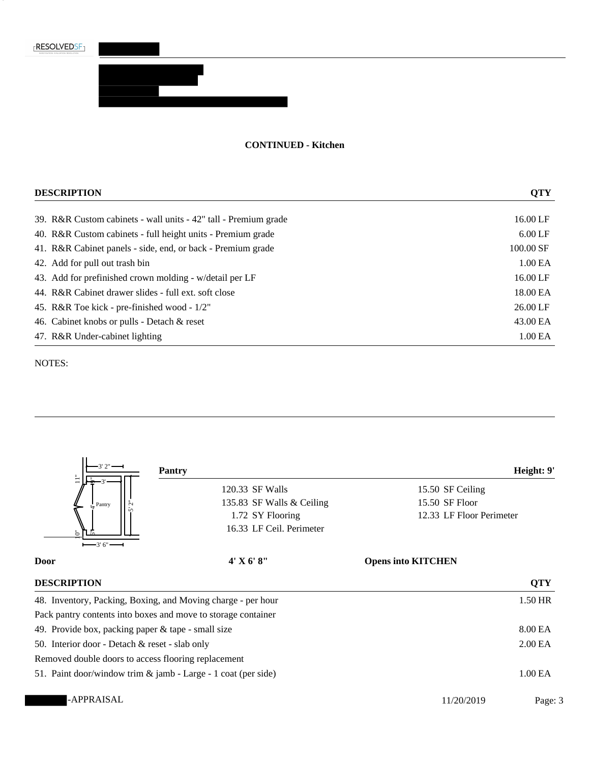

3

#### **CONTINUED - Kitchen**

| <b>DESCRIPTION</b>                                              | <b>QTY</b>          |
|-----------------------------------------------------------------|---------------------|
| 39. R&R Custom cabinets - wall units - 42" tall - Premium grade | 16.00 LF            |
| 40. R&R Custom cabinets - full height units - Premium grade     | $6.00$ LF           |
| 41. R&R Cabinet panels - side, end, or back - Premium grade     | 100.00 SF           |
| 42. Add for pull out trash bin                                  | 1.00 <sub>E</sub> A |
| 43. Add for prefinished crown molding - w/detail per LF         | 16.00 LF            |
| 44. R&R Cabinet drawer slides - full ext. soft close            | 18.00 EA            |
| 45. R&R Toe kick - pre-finished wood - 1/2"                     | 26.00 LF            |
| 46. Cabinet knobs or pulls - Detach & reset                     | 43.00 EA            |
| 47. R&R Under-cabinet lighting                                  | 1.00 <sub>E</sub> A |

#### NOTES:



50. Interior door - Detach & reset - slab only 2.00 EA

Removed double doors to access flooring replacement

51. Paint door/window trim & jamb - Large - 1 coat (per side) 1.00 EA

-APPRAISAL Page: 3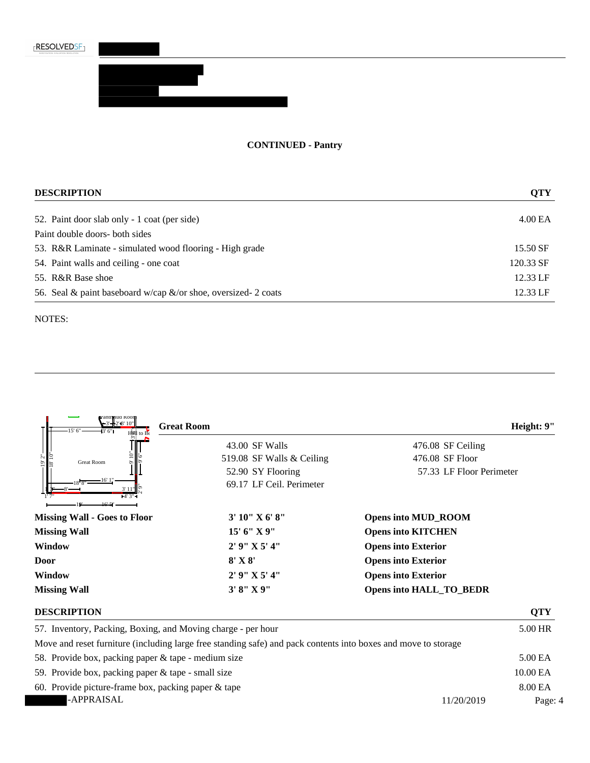# **CONTINUED - Pantry**

| <b>DESCRIPTION</b>                                                 | <b>QTY</b>          |
|--------------------------------------------------------------------|---------------------|
| 52. Paint door slab only - 1 coat (per side)                       | 4.00 <sub>E</sub> A |
| Paint double doors- both sides                                     |                     |
| 53. R&R Laminate - simulated wood flooring - High grade            | 15.50 SF            |
| 54. Paint walls and ceiling - one coat                             | 120.33 SF           |
| 55. R&R Base shoe                                                  | 12.33 LF            |
| 56. Seal & paint baseboard w/cap $\&$ /or shoe, oversized- 2 coats | 12.33 LF            |

NOTES:

Block2 (B2)

| e antriqua Koon<br>$-3 - 2 - 6' 10''$<br>$-15' 6''$ —<br>⊣3' 6"∎ | <b>Great Room</b>         | Height: 9"                     |
|------------------------------------------------------------------|---------------------------|--------------------------------|
|                                                                  | 43.00 SF Walls            | 476.08 SF Ceiling              |
| <b>Great Room</b>                                                | 519.08 SF Walls & Ceiling | 476.08 SF Floor                |
|                                                                  | 52.90 SY Flooring         | 57.33 LF Floor Perimeter       |
| $-4'3'' -$                                                       | 69.17 LF Ceil. Perimeter  |                                |
|                                                                  |                           |                                |
| <b>Missing Wall - Goes to Floor</b>                              | 3' 10'' X 6' 8''          | <b>Opens into MUD_ROOM</b>     |
| <b>Missing Wall</b>                                              | 15' 6''  X 9''            | <b>Opens into KITCHEN</b>      |
| Window                                                           | $2'$ 9" $X$ 5' 4"         | <b>Opens into Exterior</b>     |
| Door                                                             | $8'$ X $8'$               | <b>Opens into Exterior</b>     |
| Window                                                           | 2' 9" X 5' 4"             | <b>Opens into Exterior</b>     |
| <b>Missing Wall</b>                                              | 3' 8''  X 9''             | <b>Opens into HALL_TO_BEDR</b> |
| <b>DESCRIPTION</b>                                               |                           | <b>QTY</b>                     |

| 57. Inventory, Packing, Boxing, and Moving charge - per hour                                                   |            | 5.00 HR  |
|----------------------------------------------------------------------------------------------------------------|------------|----------|
| Move and reset furniture (including large free standing safe) and pack contents into boxes and move to storage |            |          |
| 58. Provide box, packing paper & tape - medium size                                                            |            | 5.00 EA  |
| 59. Provide box, packing paper & tape - small size                                                             |            | 10.00 EA |
| 60. Provide picture-frame box, packing paper $\&$ tape                                                         |            | 8.00 EA  |
| -APPRAISAL                                                                                                     | 11/20/2019 | Page: 4  |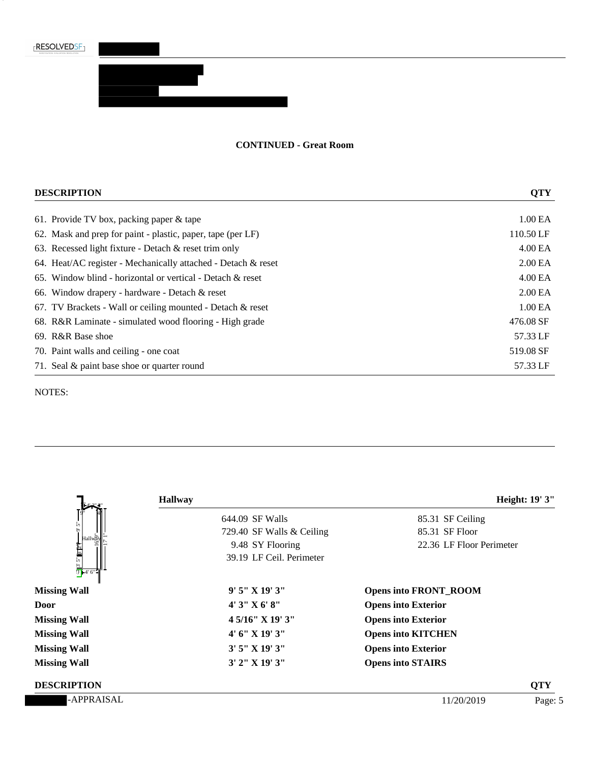

<u>e de la pro</u>

5

### **CONTINUED - Great Room**

| <b>DESCRIPTION</b>                                            | <b>QTY</b>          |
|---------------------------------------------------------------|---------------------|
| 61. Provide TV box, packing paper $\&$ tape                   | 1.00 EA             |
| 62. Mask and prep for paint - plastic, paper, tape (per LF)   | 110.50 LF           |
| 63. Recessed light fixture - Detach $\&$ reset trim only      | 4.00 EA             |
| 64. Heat/AC register - Mechanically attached - Detach & reset | 2.00 <sub>E</sub> A |
| 65. Window blind - horizontal or vertical - Detach $\&$ reset | 4.00 <sub>E</sub> A |
| 66. Window drapery - hardware - Detach $\&$ reset             | 2.00 <sub>E</sub> A |
| 67. TV Brackets - Wall or ceiling mounted - Detach $\&$ reset | 1.00 EA             |
| 68. R&R Laminate - simulated wood flooring - High grade       | 476.08 SF           |
| 69. R&R Base shoe                                             | 57.33 LF            |
| 70. Paint walls and ceiling - one coat                        | 519.08 SF           |
| 71. Seal & paint base shoe or quarter round                   | 57.33 LF            |

|                                                                                                                                                                                                                                                                                                        | <b>Hallway</b>             |                              | Height: 19' 3" |
|--------------------------------------------------------------------------------------------------------------------------------------------------------------------------------------------------------------------------------------------------------------------------------------------------------|----------------------------|------------------------------|----------------|
|                                                                                                                                                                                                                                                                                                        | 644.09 SF Walls            | 85.31 SF Ceiling             |                |
|                                                                                                                                                                                                                                                                                                        | 729.40 SF Walls & Ceiling  | 85.31 SF Floor               |                |
|                                                                                                                                                                                                                                                                                                        | 9.48 SY Flooring           | 22.36 LF Floor Perimeter     |                |
| Hallway<br>1991<br>1991<br>1994<br>1994<br>1994<br>1995<br>1995<br>1995<br>1995<br>1995<br>1995<br>1995<br>1996<br>1996<br>1996<br>1996<br>1996<br>1996<br>1996<br>1996<br>1996<br>1996<br>1996<br>1996<br>1996<br>1996<br>1996<br>1996<br>1996<br>1996<br>1996<br>1996<br>1996<br>1996<br>1996<br>199 | 39.19 LF Ceil. Perimeter   |                              |                |
| <b>Missing Wall</b>                                                                                                                                                                                                                                                                                    | $9'5''$ X $19'3''$         | <b>Opens into FRONT_ROOM</b> |                |
| Door                                                                                                                                                                                                                                                                                                   | 4'3''X6'8''                | <b>Opens into Exterior</b>   |                |
| <b>Missing Wall</b>                                                                                                                                                                                                                                                                                    | $4\frac{5}{16}$ " X 19" 3" | <b>Opens into Exterior</b>   |                |
| <b>Missing Wall</b>                                                                                                                                                                                                                                                                                    | 4' 6''  X 19' 3''          | <b>Opens into KITCHEN</b>    |                |
| <b>Missing Wall</b>                                                                                                                                                                                                                                                                                    | $3'$ 5" X 19' 3"           | <b>Opens into Exterior</b>   |                |
| <b>Missing Wall</b>                                                                                                                                                                                                                                                                                    | $3'$ 2" X 19' 3"           | <b>Opens into STAIRS</b>     |                |
| <b>DESCRIPTION</b>                                                                                                                                                                                                                                                                                     |                            |                              | <b>QTY</b>     |
| -APPRAISAL                                                                                                                                                                                                                                                                                             |                            | 11/20/2019                   | Page: 5        |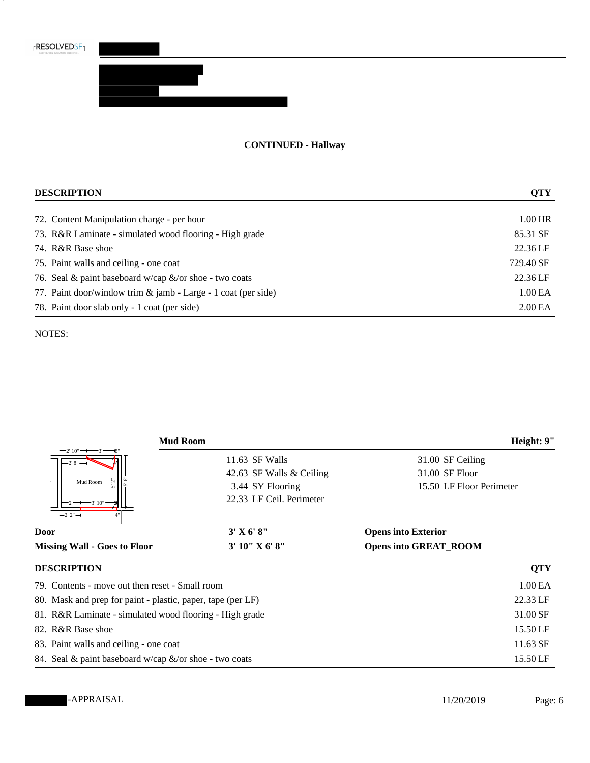<u>e est</u>

6

## **CONTINUED - Hallway**

| <b>DESCRIPTION</b>                                            | <b>QTY</b>          |
|---------------------------------------------------------------|---------------------|
| 72. Content Manipulation charge - per hour                    | 1.00 HR             |
| 73. R&R Laminate - simulated wood flooring - High grade       | 85.31 SF            |
| 74. R&R Base shoe                                             | 22.36 LF            |
| 75. Paint walls and ceiling - one coat                        | 729.40 SF           |
| 76. Seal & paint baseboard w/cap $\&$ /or shoe - two coats    | 22.36 LF            |
| 77. Paint door/window trim & jamb - Large - 1 coat (per side) | 1.00 EA             |
| 78. Paint door slab only - 1 coat (per side)                  | 2.00 <sub>E</sub> A |

|                                                             | <b>Mud Room</b>          | Height: 9"                   |
|-------------------------------------------------------------|--------------------------|------------------------------|
| $-2' 10'' \rightarrow -3'$                                  | 11.63 SF Walls           | 31.00 SF Ceiling             |
|                                                             | 42.63 SF Walls & Ceiling | 31.00 SF Floor               |
| Mud Room                                                    | 3.44 SY Flooring         | 15.50 LF Floor Perimeter     |
|                                                             | 22.33 LF Ceil. Perimeter |                              |
| $-2'2''-$                                                   |                          |                              |
| Door                                                        | 3' X 6' 8''              | <b>Opens into Exterior</b>   |
| <b>Missing Wall - Goes to Floor</b>                         | 3' 10'' X 6' 8''         | <b>Opens into GREAT_ROOM</b> |
| <b>DESCRIPTION</b>                                          |                          | <b>QTY</b>                   |
| 79. Contents - move out then reset - Small room             |                          | 1.00 EA                      |
| 80. Mask and prep for paint - plastic, paper, tape (per LF) |                          | 22.33 LF                     |
| 81. R&R Laminate - simulated wood flooring - High grade     |                          | 31.00 SF                     |
| 82. R&R Base shoe                                           |                          | 15.50 LF                     |
| 83. Paint walls and ceiling - one coat                      |                          | 11.63 SF                     |
| 84. Seal & paint baseboard w/cap &/or shoe - two coats      |                          | 15.50 LF                     |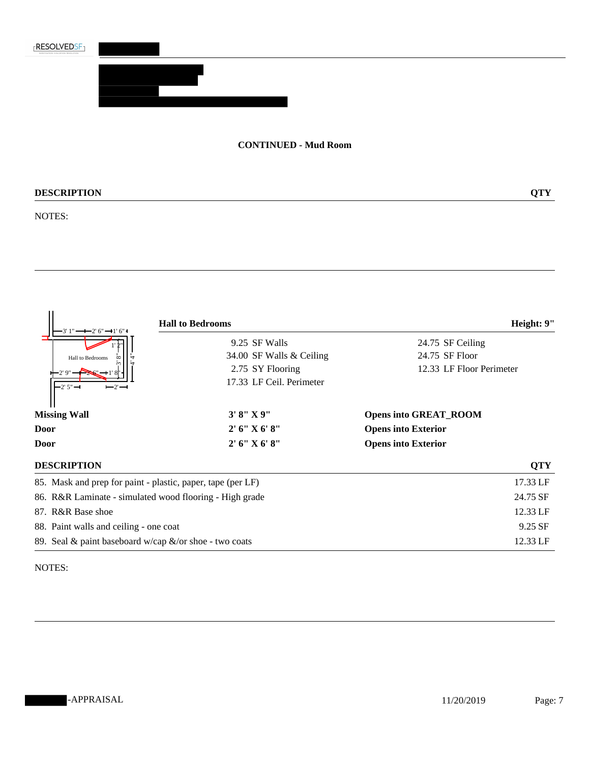

### **CONTINUED - Mud Room**

# **DESCRIPTION QTY**

NOTES:

| !"━━━2' 6" ━+1' 6" I                                        | <b>Hall to Bedrooms</b>                                 | Height: 9"                   |
|-------------------------------------------------------------|---------------------------------------------------------|------------------------------|
|                                                             | 9.25 SF Walls                                           | 24.75 SF Ceiling             |
| Hall to Bedrooms                                            | 34.00 SF Walls & Ceiling                                | 24.75 SF Floor               |
| 2'9"                                                        | 2.75 SY Flooring                                        | 12.33 LF Floor Perimeter     |
| $-2'5''$ $-$<br>$-2$                                        | 17.33 LF Ceil. Perimeter                                |                              |
| <b>Missing Wall</b>                                         | 3' 8''  X 9''                                           | <b>Opens into GREAT_ROOM</b> |
| Door                                                        | 2' 6'' X 6' 8''                                         | <b>Opens into Exterior</b>   |
| Door                                                        | 2' 6'' X 6' 8''                                         | <b>Opens into Exterior</b>   |
| <b>DESCRIPTION</b>                                          |                                                         | <b>QTY</b>                   |
| 85. Mask and prep for paint - plastic, paper, tape (per LF) |                                                         | 17.33 LF                     |
|                                                             | 86. R&R Laminate - simulated wood flooring - High grade | 24.75 SF                     |
| 87. R&R Base shoe                                           |                                                         | 12.33 LF                     |
| 88. Paint walls and ceiling - one coat                      |                                                         | 9.25 SF                      |
| 89. Seal & paint baseboard w/cap $\&$ /or shoe - two coats  |                                                         | 12.33 LF                     |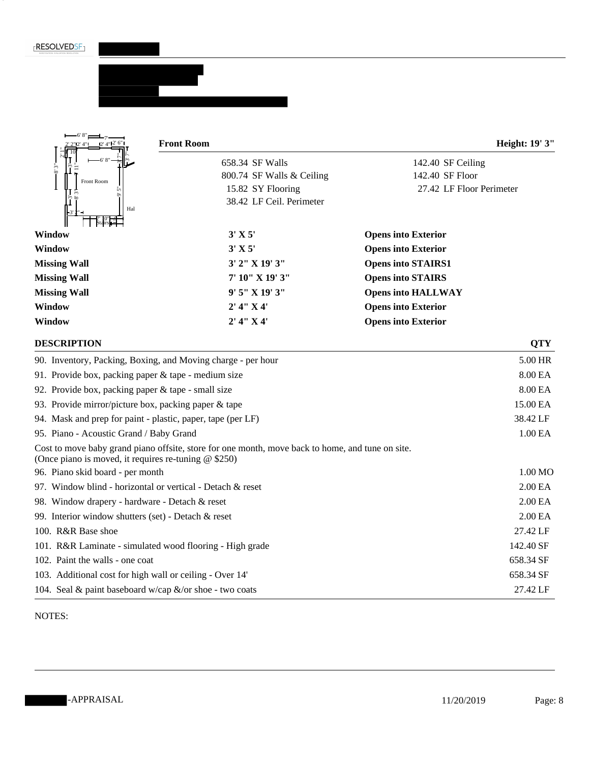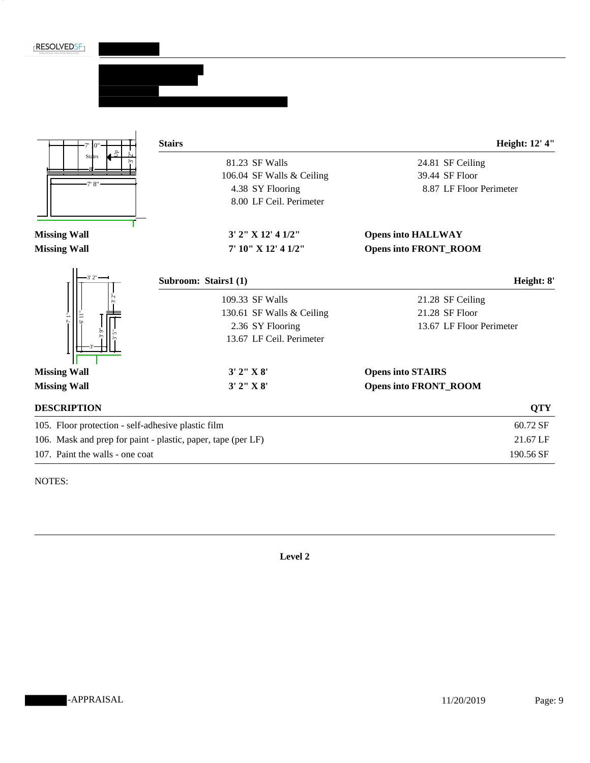



NOTES:

**Level 2**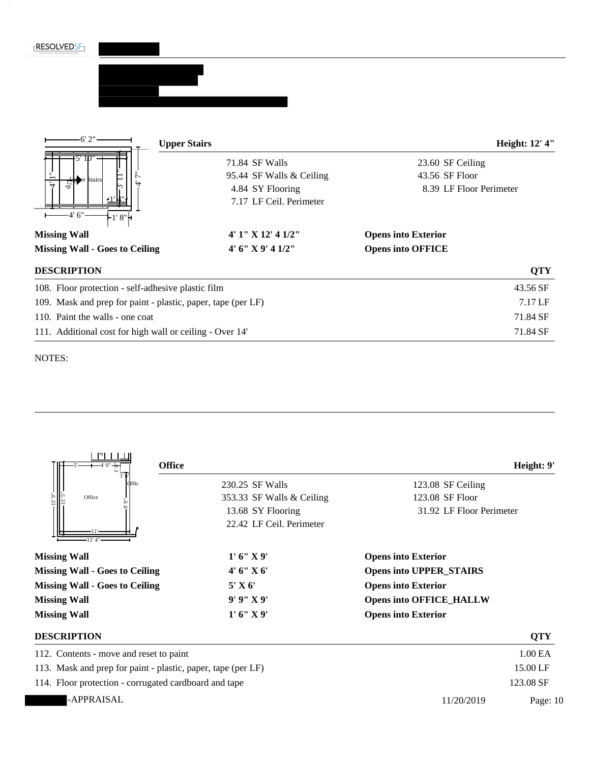| <b>FRESOLVEDSF1</b> |
|---------------------|
|---------------------|



| ਰੋ                                                           | 4.84 SY Flooring<br>7.17 LF Ceil. Perimeter                                                   | 8.39 LF Floor Perimeter                                          |                     |
|--------------------------------------------------------------|-----------------------------------------------------------------------------------------------|------------------------------------------------------------------|---------------------|
| $-4'6''$<br>-1' 8"†                                          | 4' 1" X 12' 4 1/2"                                                                            |                                                                  |                     |
| <b>Missing Wall</b><br><b>Missing Wall - Goes to Ceiling</b> | 4' 6" X 9' 4 1/2"                                                                             | <b>Opens into Exterior</b><br><b>Opens into OFFICE</b>           |                     |
|                                                              |                                                                                               |                                                                  |                     |
| <b>DESCRIPTION</b>                                           |                                                                                               |                                                                  | <b>QTY</b>          |
| 108. Floor protection - self-adhesive plastic film           |                                                                                               |                                                                  | 43.56 SF            |
| 109. Mask and prep for paint - plastic, paper, tape (per LF) |                                                                                               |                                                                  | 7.17 LF             |
| 110. Paint the walls - one coat                              |                                                                                               |                                                                  | 71.84 SF            |
| 111. Additional cost for high wall or ceiling - Over 14'     |                                                                                               |                                                                  | 71.84 SF            |
| $\mathsf{P}$ i<br><b>Office</b><br><b>D</b> ffic<br>Office   | 230.25 SF Walls<br>353.33 SF Walls & Ceiling<br>13.68 SY Flooring<br>22.42 LF Ceil. Perimeter | 123.08 SF Ceiling<br>123.08 SF Floor<br>31.92 LF Floor Perimeter | Height: 9'          |
| <b>Missing Wall</b>                                          | 1' 6''  X 9'                                                                                  | <b>Opens into Exterior</b>                                       |                     |
| <b>Missing Wall - Goes to Ceiling</b>                        | 4' 6" X 6'                                                                                    | <b>Opens into UPPER_STAIRS</b>                                   |                     |
| <b>Missing Wall - Goes to Ceiling</b>                        | 5' X 6'                                                                                       | <b>Opens into Exterior</b>                                       |                     |
| <b>Missing Wall</b>                                          | 9' 9" X 9'                                                                                    | <b>Opens into OFFICE_HALLW</b>                                   |                     |
| <b>Missing Wall</b>                                          | 1' 6''  X 9'                                                                                  | <b>Opens into Exterior</b>                                       |                     |
| <b>DESCRIPTION</b>                                           |                                                                                               |                                                                  | <b>QTY</b>          |
| 112. Contents - move and reset to paint                      |                                                                                               |                                                                  | $1.00\,\mathrm{EA}$ |
| 113. Mask and prep for paint - plastic, paper, tape (per LF) |                                                                                               |                                                                  | 15.00 LF            |
| 114. Floor protection - corrugated cardboard and tape        |                                                                                               |                                                                  | 123.08 SF           |
|                                                              |                                                                                               |                                                                  |                     |
| -APPRAISAL                                                   |                                                                                               | 11/20/2019                                                       | Page: 10            |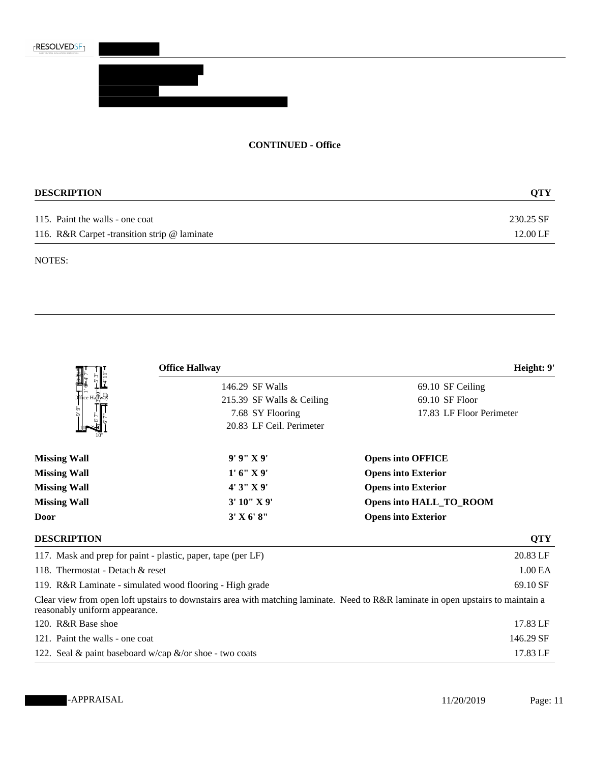

### **CONTINUED - Office**

| <b>DESCRIPTION</b>                           | <b>OTY</b> |  |
|----------------------------------------------|------------|--|
| 115. Paint the walls - one coat              | 230.25 SF  |  |
| 116. R&R Carpet -transition strip @ laminate | 12.00 LF   |  |

|                                                          | <b>Office Hallway</b>                                        | Height: 9'                                                                                                                        |
|----------------------------------------------------------|--------------------------------------------------------------|-----------------------------------------------------------------------------------------------------------------------------------|
|                                                          | 146.29 SF Walls                                              | 69.10 SF Ceiling                                                                                                                  |
| e Ha∏wa\                                                 | 215.39 SF Walls & Ceiling                                    | 69.10 SF Floor                                                                                                                    |
|                                                          | 7.68 SY Flooring                                             | 17.83 LF Floor Perimeter                                                                                                          |
|                                                          | 20.83 LF Ceil. Perimeter                                     |                                                                                                                                   |
| <b>Missing Wall</b>                                      | 9' 9''  X 9'                                                 | <b>Opens into OFFICE</b>                                                                                                          |
| <b>Missing Wall</b>                                      | 1' 6''  X 9'                                                 | <b>Opens into Exterior</b>                                                                                                        |
| <b>Missing Wall</b>                                      | 4'3''X9'                                                     | <b>Opens into Exterior</b>                                                                                                        |
| <b>Missing Wall</b>                                      | 3' 10" X 9'                                                  | Opens into HALL_TO_ROOM                                                                                                           |
| Door                                                     | 3' X 6' 8''                                                  | <b>Opens into Exterior</b>                                                                                                        |
| <b>DESCRIPTION</b>                                       |                                                              | <b>QTY</b>                                                                                                                        |
|                                                          | 117. Mask and prep for paint - plastic, paper, tape (per LF) | 20.83 LF                                                                                                                          |
| 118. Thermostat - Detach & reset                         | 1.00 EA                                                      |                                                                                                                                   |
| 119. R&R Laminate - simulated wood flooring - High grade | 69.10 SF                                                     |                                                                                                                                   |
| reasonably uniform appearance.                           |                                                              | Clear view from open loft upstairs to downstairs area with matching laminate. Need to R&R laminate in open upstairs to maintain a |
| 120. R&R Base shoe                                       |                                                              | 17.83 LF                                                                                                                          |
| 121. Paint the walls - one coat                          |                                                              | 146.29 SF                                                                                                                         |
| 122. Seal & paint baseboard w/cap &/or shoe - two coats  | 17.83 LF                                                     |                                                                                                                                   |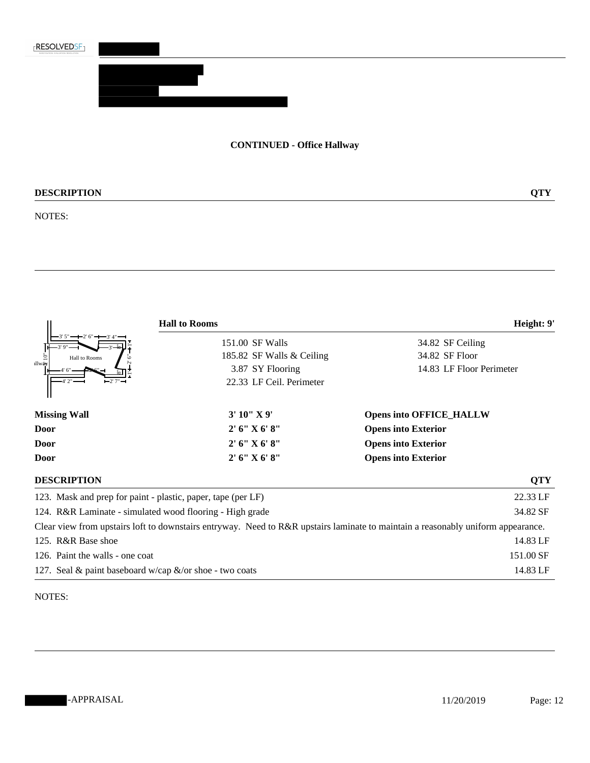

# **CONTINUED - Office Hallway**

# **DESCRIPTION QTY**

#### NOTES:

|                                                              | <b>Hall to Rooms</b>      | Height: 9'                                                                                                                       |  |  |
|--------------------------------------------------------------|---------------------------|----------------------------------------------------------------------------------------------------------------------------------|--|--|
|                                                              | 151.00 SF Walls           | 34.82 SF Ceiling<br>34.82 SF Floor                                                                                               |  |  |
| Hall to Rooms                                                | 185.82 SF Walls & Ceiling |                                                                                                                                  |  |  |
| allwäw                                                       | 3.87 SY Flooring          | 14.83 LF Floor Perimeter                                                                                                         |  |  |
|                                                              | 22.33 LF Ceil. Perimeter  |                                                                                                                                  |  |  |
| <b>Missing Wall</b>                                          | 3'10''X9'                 | <b>Opens into OFFICE_HALLW</b>                                                                                                   |  |  |
| Door                                                         | 2' 6''  X 6' 8''          | <b>Opens into Exterior</b><br><b>Opens into Exterior</b>                                                                         |  |  |
| Door                                                         | 2' 6'' X 6' 8''           |                                                                                                                                  |  |  |
| Door                                                         | 2' 6'' X 6' 8''           | <b>Opens into Exterior</b>                                                                                                       |  |  |
| <b>DESCRIPTION</b>                                           |                           | <b>QTY</b>                                                                                                                       |  |  |
| 123. Mask and prep for paint - plastic, paper, tape (per LF) |                           | 22.33 LF                                                                                                                         |  |  |
| 124. R&R Laminate - simulated wood flooring - High grade     | 34.82 SF                  |                                                                                                                                  |  |  |
|                                                              |                           | Clear view from upstairs loft to downstairs entryway. Need to R&R upstairs laminate to maintain a reasonably uniform appearance. |  |  |
| 125. R&R Base shoe                                           |                           | 14.83 LF                                                                                                                         |  |  |
| 126. Paint the walls - one coat                              | 151.00 SF                 |                                                                                                                                  |  |  |
| 127. Seal & paint baseboard w/cap $\&$ /or shoe - two coats  |                           | 14.83 LF                                                                                                                         |  |  |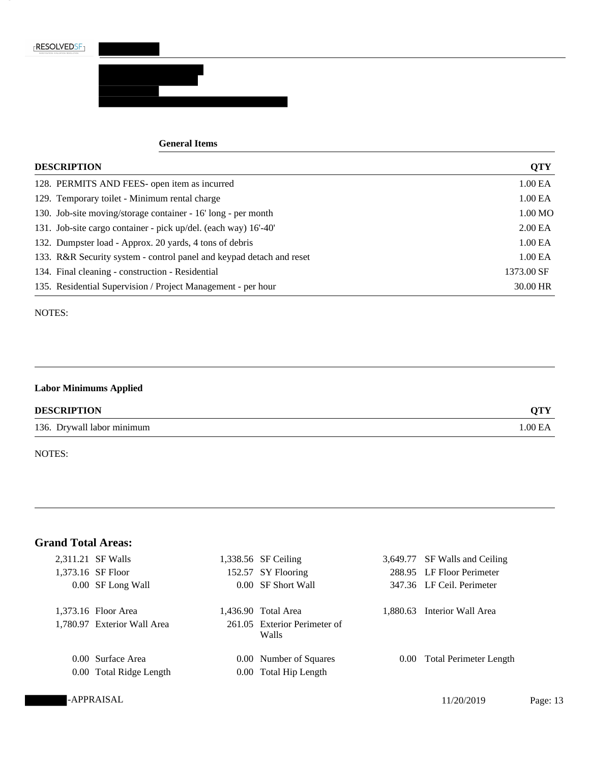

#### **General Items**

| <b>DESCRIPTION</b>                                                   | <b>QTY</b>          |
|----------------------------------------------------------------------|---------------------|
| 128. PERMITS AND FEES- open item as incurred                         | 1.00 EA             |
| 129. Temporary toilet - Minimum rental charge                        | 1.00 EA             |
| 130. Job-site moving/storage container - 16' long - per month        | 1.00 MO             |
| 131. Job-site cargo container - pick up/del. (each way) 16'-40'      | 2.00 <sub>E</sub> A |
| 132. Dumpster load - Approx. 20 yards, 4 tons of debris              | 1.00 EA             |
| 133. R&R Security system - control panel and keypad detach and reset | 1.00 EA             |
| 134. Final cleaning - construction - Residential                     | 1373.00 SF          |
| 135. Residential Supervision / Project Management - per hour         | 30.00 HR            |

### NOTES:

## **Labor Minimums Applied**

### **DESCRIPTION QTY**

136. Drywall labor minimum 1.00 EA

NOTES:

# **Grand Total Areas:**

| 2,311.21 SF Walls           | 1,338.56 SF Ceiling                   |          | 3,649.77 SF Walls and Ceiling |
|-----------------------------|---------------------------------------|----------|-------------------------------|
| 1,373.16 SF Floor           | 152.57 SY Flooring                    |          | 288.95 LF Floor Perimeter     |
| 0.00 SF Long Wall           | 0.00 SF Short Wall                    |          | 347.36 LF Ceil. Perimeter     |
| 1,373.16 Floor Area         | 1,436.90 Total Area                   | 1.880.63 | Interior Wall Area            |
| 1,780.97 Exterior Wall Area | 261.05 Exterior Perimeter of<br>Walls |          |                               |
| 0.00 Surface Area           | 0.00 Number of Squares                |          | 0.00 Total Perimeter Length   |
| 0.00 Total Ridge Length     | 0.00 Total Hip Length                 |          |                               |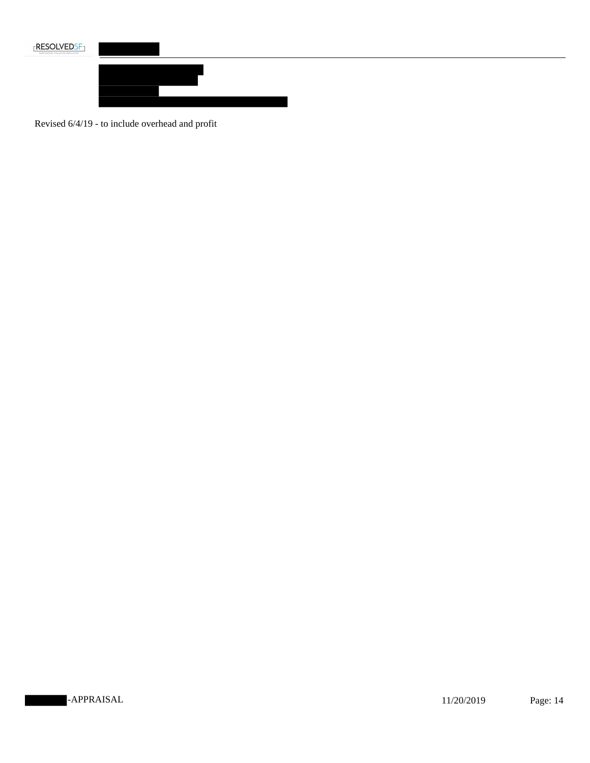



Revised 6/4/19 - to include overhead and profit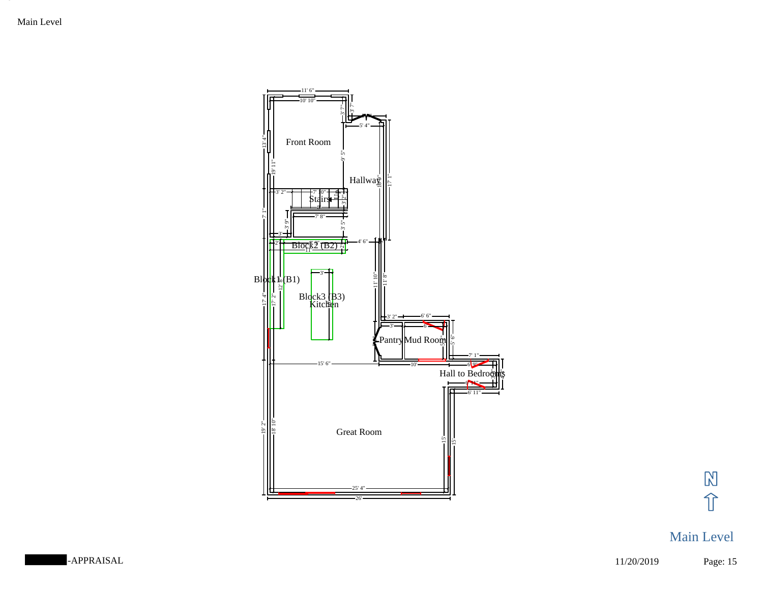Main Level



 $\mathbb{N}$ 介

# Main Level